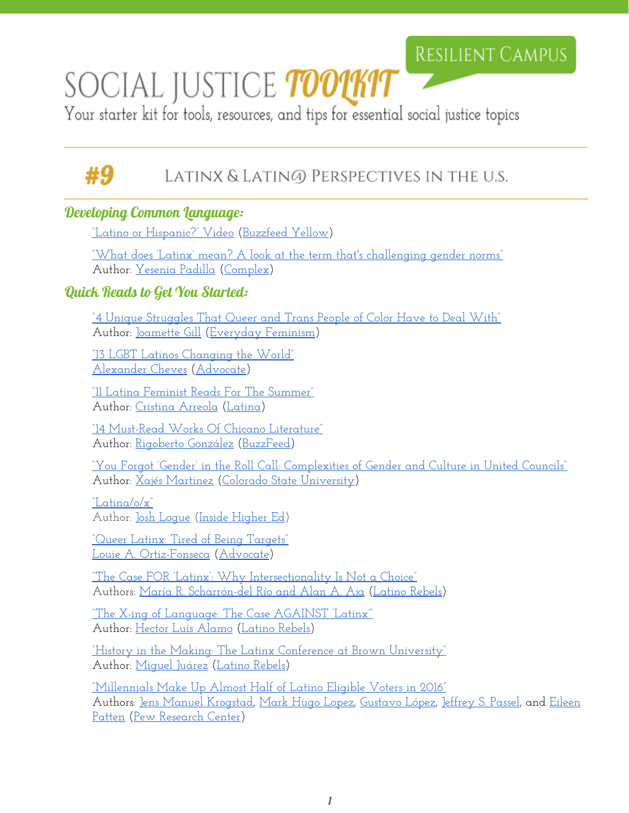## **RESILIENT CAMPUS**

# SOCIAL JUSTICE *toolkit*

Your starter kit for tools, resources, and tips for essential social justice topics

# ЖQ

### Latinx & Lating) Perspectives in the u.s.

#### Developing Common Language:

["Latino or Hispanic?"](https://www.youtube.com/watch?v=KBDGwB50YBY) Video [\(Buzzfeed](https://www.youtube.com/user/BuzzFeedYellow) Yellow)

["What does 'Latinx' mean?](http://www.complex.com/life/2016/04/latinx/) A look at the term that's challenging gender norms" Author: [Yesenia Padilla](http://www.complex.com/author/yesenia-padilla) [\(Complex\)](http://www.complex.com/)

#### Quick Reads to Get You Started:

<u>["4 Unique Struggles That Queer](http://everydayfeminism.com/2016/01/unique-queer-poc-struggles/) and Trans People of Color Have to Deal With"</u> Author: [Joamette Gill](http://everydayfeminism.com/author/joametteg/) [\(Everyday](http://everydayfeminism.com/) Feminism)

["13 LGBT Latinos Changing the](http://www.advocate.com/arts-entertainment/2015/9/28/13-lgbt-latinos-changing-world) World" [Alexander Cheves](http://www.advocate.com/authors/alexander-cheves) ([Advocate\)](http://www.advocate.com/)

["11 Latina Feminist Reads For](http://web.archive.org/web/20150717035757/https://www.latina.com/entertainment/book-club/latina-feminist-reads-summer#12) The Summer" Author: [Cristina Arreola](http://web.archive.org/web/20150706001513/http://www.latina.com/author/cristina-arreola) ([Latina](http://www.latina.com/))

["14 Must-Read Works Of](https://www.buzzfeed.com/rigobertogonzalez/must-read-chicano-literature?utm_term=.diJBGoDKR#.jvVzan3Wy) Chicano Literature" Author: [Rigoberto González](https://www.buzzfeed.com/rigobertogonzalez?language=en) ([BuzzFeed\)](https://www.buzzfeed.com/)

["You Forgot 'Gender' in](http://c.ymcdn.com/sites/www.afa1976.org/resource/collection/9A316A3E-BEAB-46FE-97F7-BB285C21450A/Martinez_March2016_Advisor.pdf) the Roll Call: Complexities of Gender and Culture in United Councils" Author: [Xajés Martinez](https://twitter.com/iamxajes) (Colorado State [University\)](http://www.colostate.edu/)

["Latina/o/x"](https://www.insidehighered.com/news/2015/12/08/students-adopt-gender-nonspecific-term-latinx-be-more-inclusive)

Author: <u>Josh Loque</u> (Inside [Higher](https://www.insidehighered.com/) Ed)

["Queer Latinx: Tired](http://www.advocate.com/commentary/2016/6/15/queer-latinx-tired-being-targets) of Being Targets" [Louie A. Ortiz-Fonseca](http://www.advocate.com/authors/louie-ortiz-fonseca) [\(Advocate\)](http://www.advocate.com/)

["The Case FOR 'Latinx':](http://www.latinorebels.com/2015/12/05/the-case-for-latinx-why-intersectionality-is-not-a-choice/) Why Intersectionality Is Not a Choice" Authors: [María R. Scharrón-del Río](http://www.latinorebels.com/author/aaja/) and Alan A. Aja [\(Latino](http://www.latinorebels.com/) Rebels)

["The X-ing of Language:](http://www.latinorebels.com/2015/12/12/the-x-ing-of-language-the-case-against-latinix/) The Case AGAINST 'Latinx'" Author: [Hector Luis Alamo](http://www.latinorebels.com/author/hectorluisalamojr/) [\(Latino](http://www.latinorebels.com/) Rebels)

["History in the Making:](http://www.latinorebels.com/2016/04/08/history-in-the-making-the-latinx-conference-at-brown-university/) The Latinx Conference at Brown University" Author: [Miguel Juárez](http://www.latinorebels.com/author/mjuar/) ([Latino](http://www.latinorebels.com/) Rebels)

["Millennials Make Up](http://www.pewhispanic.org/2016/01/19/millennials-make-up-almost-half-of-latino-eligible-voters-in-2016/) Almost Half of Latino Eligible Voters in 2016" Authors: [Jens Manuel Krogstad,](http://www.pewhispanic.org/author/jkrogstad/) Mark Hugo [Lopez,](http://www.pewresearch.org/staff/mark-hugo-lopez/) [Gustavo](http://www.pewhispanic.org/author/glopez/) López, [Jeffrey](http://www.pewresearch.org/staff/jeffrey-s-passel/) S. Passel, and [Eileen](http://www.pewhispanic.org/author/epatten/) [Patten](http://www.pewhispanic.org/author/epatten/) [\(Pew Research](http://www.pewresearch.org/) Center)